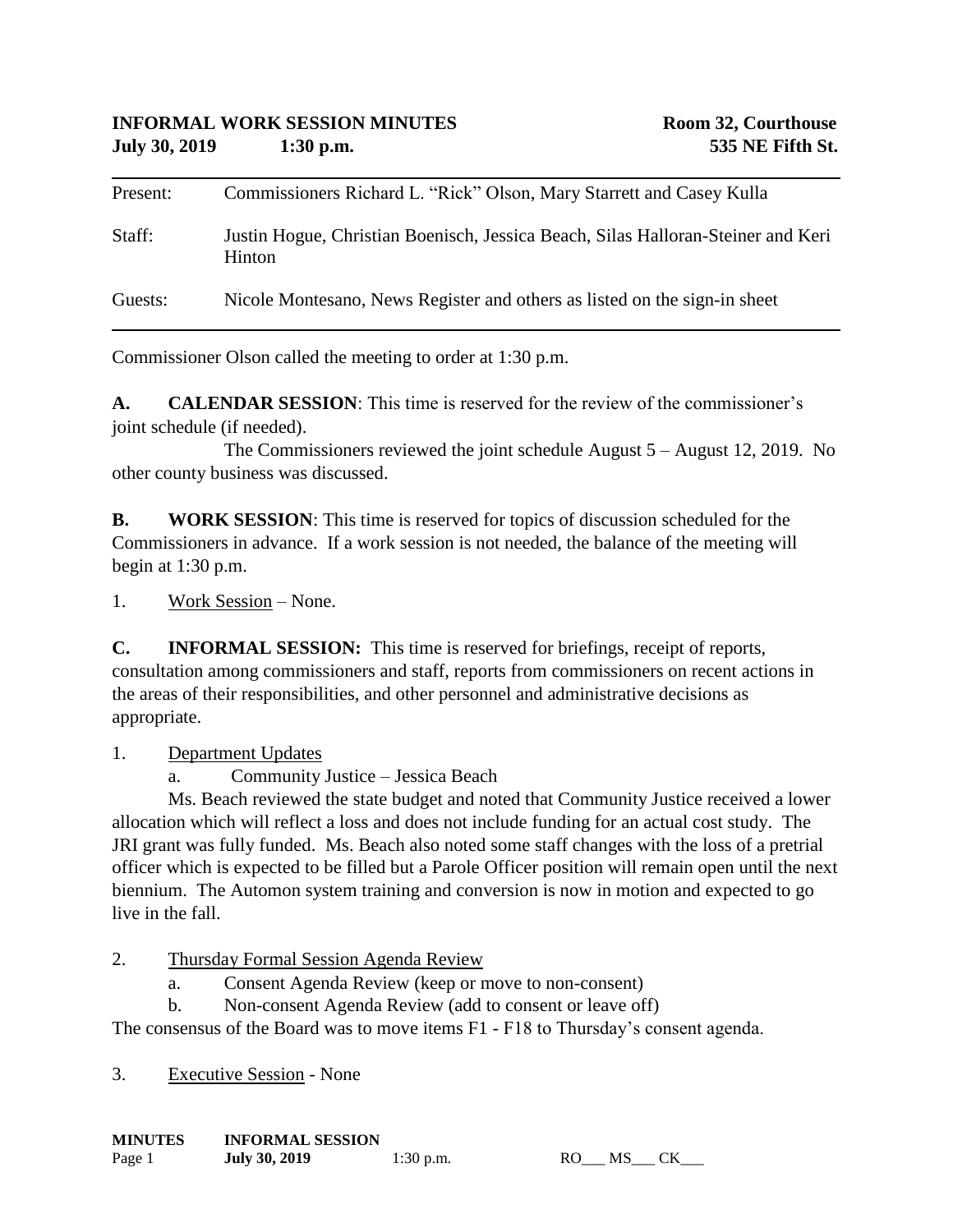| Present: | Commissioners Richard L. "Rick" Olson, Mary Starrett and Casey Kulla                              |
|----------|---------------------------------------------------------------------------------------------------|
| Staff:   | Justin Hogue, Christian Boenisch, Jessica Beach, Silas Halloran-Steiner and Keri<br><b>Hinton</b> |
| Guests:  | Nicole Montesano, News Register and others as listed on the sign-in sheet                         |

Commissioner Olson called the meeting to order at 1:30 p.m.

**A. CALENDAR SESSION**: This time is reserved for the review of the commissioner's joint schedule (if needed).

The Commissioners reviewed the joint schedule August 5 – August 12, 2019. No other county business was discussed.

**B. WORK SESSION**: This time is reserved for topics of discussion scheduled for the Commissioners in advance. If a work session is not needed, the balance of the meeting will begin at 1:30 p.m.

1. Work Session – None.

**C. INFORMAL SESSION:** This time is reserved for briefings, receipt of reports, consultation among commissioners and staff, reports from commissioners on recent actions in the areas of their responsibilities, and other personnel and administrative decisions as appropriate.

1. Department Updates

a. Community Justice – Jessica Beach

Ms. Beach reviewed the state budget and noted that Community Justice received a lower allocation which will reflect a loss and does not include funding for an actual cost study. The JRI grant was fully funded. Ms. Beach also noted some staff changes with the loss of a pretrial officer which is expected to be filled but a Parole Officer position will remain open until the next biennium. The Automon system training and conversion is now in motion and expected to go live in the fall

2. Thursday Formal Session Agenda Review

- a. Consent Agenda Review (keep or move to non-consent)
- b. Non-consent Agenda Review (add to consent or leave off)

The consensus of the Board was to move items F1 - F18 to Thursday's consent agenda.

3. Executive Session - None